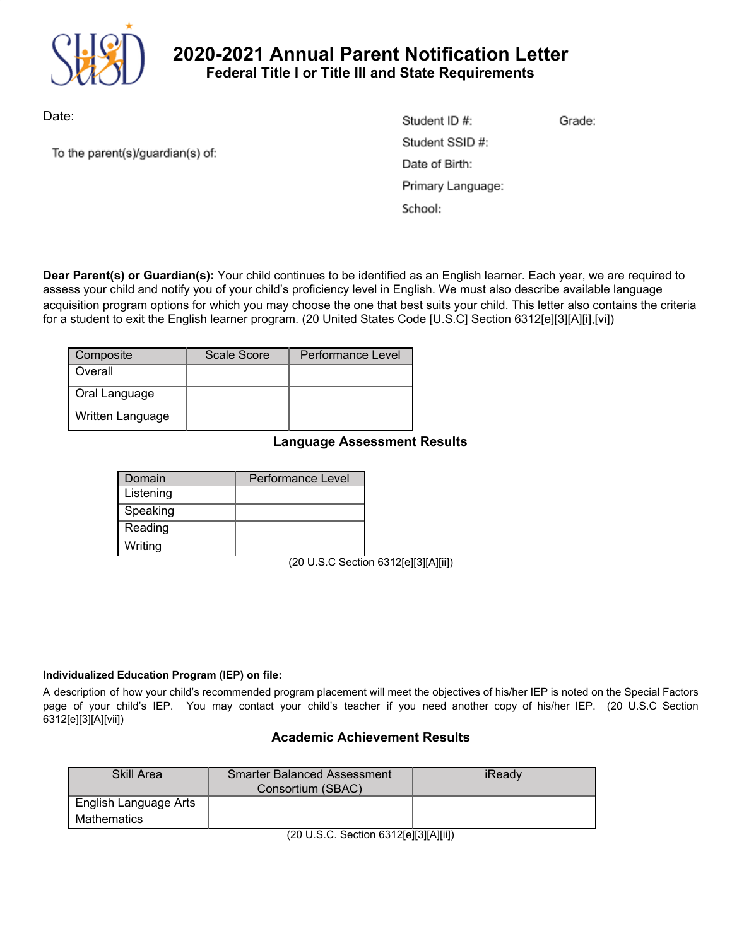

# **2020-2021 Annual Parent Notification Letter Federal Title I or Title III and State Requirements**

Date:

To the parent(s)/guardian(s) of:

| Student ID #:     | Grade: |
|-------------------|--------|
| Student SSID #:   |        |
| Date of Birth:    |        |
| Primary Language: |        |
| School:           |        |

**Dear Parent(s) or Guardian(s):** Your child continues to be identified as an English learner. Each year, we are required to assess your child and notify you of your child's proficiency level in English. We must also describe available language acquisition program options for which you may choose the one that best suits your child. This letter also contains the criteria for a student to exit the English learner program. (20 United States Code [U.S.C] Section 6312[e][3][A][i],[vi])

| Composite        | Scale Score | <b>Performance Level</b> |
|------------------|-------------|--------------------------|
| Overall          |             |                          |
| Oral Language    |             |                          |
| Written Language |             |                          |

## **Language Assessment Results**

| Domain    | Performance Level |
|-----------|-------------------|
| Listening |                   |
| Speaking  |                   |
| Reading   |                   |
| Writing   |                   |

(20 U.S.C Section 6312[e][3][A][ii])

#### **Individualized Education Program (IEP) on file:**

A description of how your child's recommended program placement will meet the objectives of his/her IEP is noted on the Special Factors page of your child's IEP. You may contact your child's teacher if you need another copy of his/her IEP. (20 U.S.C Section 6312[e][3][A][vii])

## **Academic Achievement Results**

| Skill Area            | <b>Smarter Balanced Assessment</b><br>Consortium (SBAC) | iReady |
|-----------------------|---------------------------------------------------------|--------|
| English Language Arts |                                                         |        |
| Mathematics           |                                                         |        |

(20 U.S.C. Section 6312[e][3][A][ii])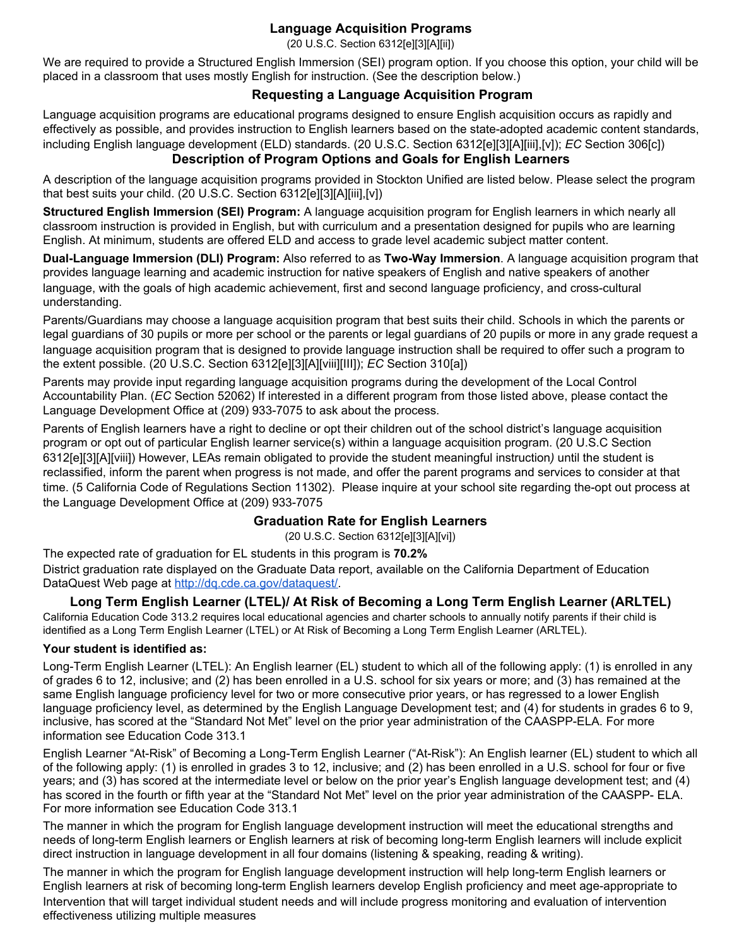## **Language Acquisition Programs**

(20 U.S.C. Section 6312[e][3][A][ii])

We are required to provide a Structured English Immersion (SEI) program option. If you choose this option, your child will be placed in a classroom that uses mostly English for instruction. (See the description below.)

## **Requesting a Language Acquisition Program**

Language acquisition programs are educational programs designed to ensure English acquisition occurs as rapidly and effectively as possible, and provides instruction to English learners based on the state-adopted academic content standards, including English language development (ELD) standards. (20 U.S.C. Section 6312[e][3][A][iii],[v]); *EC* Section 306[c]) **Description of Program Options and Goals for English Learners**

A description of the language acquisition programs provided in Stockton Unified are listed below. Please select the program that best suits your child. (20 U.S.C. Section 6312[e][3][A][iii],[v])

**Structured English Immersion (SEI) Program:** A language acquisition program for English learners in which nearly all classroom instruction is provided in English, but with curriculum and a presentation designed for pupils who are learning English. At minimum, students are offered ELD and access to grade level academic subject matter content.

**Dual-Language Immersion (DLI) Program:** Also referred to as **Two-Way Immersion**. A language acquisition program that provides language learning and academic instruction for native speakers of English and native speakers of another language, with the goals of high academic achievement, first and second language proficiency, and cross-cultural understanding.

Parents/Guardians may choose a language acquisition program that best suits their child. Schools in which the parents or legal guardians of 30 pupils or more per school or the parents or legal guardians of 20 pupils or more in any grade request a language acquisition program that is designed to provide language instruction shall be required to offer such a program to the extent possible. (20 U.S.C. Section 6312[e][3][A][viii][III]); *EC* Section 310[a])

Parents may provide input regarding language acquisition programs during the development of the Local Control Accountability Plan. (*EC* Section 52062) If interested in a different program from those listed above, please contact the Language Development Office at (209) 933-7075 to ask about the process.

Parents of English learners have a right to decline or opt their children out of the school district's language acquisition program or opt out of particular English learner service(s) within a language acquisition program. (20 U.S.C Section 6312[e][3][A][viii]) However, LEAs remain obligated to provide the student meaningful instruction*)* until the student is reclassified, inform the parent when progress is not made, and offer the parent programs and services to consider at that time. (5 California Code of Regulations Section 11302). Please inquire at your school site regarding the-opt out process at the Language Development Office at (209) 933-7075

## **Graduation Rate for English Learners**

(20 U.S.C. Section 6312[e][3][A][vi])

The expected rate of graduation for EL students in this program is **70.2%** District graduation rate displayed on the Graduate Data report, available on the California Department of Education DataQuest Web page at [http://dq.cde.ca.gov/dataquest/.](http://dq.cde.ca.gov/dataquest/)

## **Long Term English Learner (LTEL)/ At Risk of Becoming a Long Term English Learner (ARLTEL)**

California Education Code 313.2 requires local educational agencies and charter schools to annually notify parents if their child is identified as a Long Term English Learner (LTEL) or At Risk of Becoming a Long Term English Learner (ARLTEL).

#### **Your student is identified as:**

Long-Term English Learner (LTEL): An English learner (EL) student to which all of the following apply: (1) is enrolled in any of grades 6 to 12, inclusive; and (2) has been enrolled in a U.S. school for six years or more; and (3) has remained at the same English language proficiency level for two or more consecutive prior years, or has regressed to a lower English language proficiency level, as determined by the English Language Development test; and (4) for students in grades 6 to 9, inclusive, has scored at the "Standard Not Met" level on the prior year administration of the CAASPP-ELA. For more information see Education Code 313.1

English Learner "At-Risk" of Becoming a Long-Term English Learner ("At-Risk"): An English learner (EL) student to which all of the following apply: (1) is enrolled in grades 3 to 12, inclusive; and (2) has been enrolled in a U.S. school for four or five years; and (3) has scored at the intermediate level or below on the prior year's English language development test; and (4) has scored in the fourth or fifth year at the "Standard Not Met" level on the prior year administration of the CAASPP- ELA. For more information see Education Code 313.1

The manner in which the program for English language development instruction will meet the educational strengths and needs of long-term English learners or English learners at risk of becoming long-term English learners will include explicit direct instruction in language development in all four domains (listening & speaking, reading & writing).

The manner in which the program for English language development instruction will help long-term English learners or English learners at risk of becoming long-term English learners develop English proficiency and meet age-appropriate to Intervention that will target individual student needs and will include progress monitoring and evaluation of intervention effectiveness utilizing multiple measures